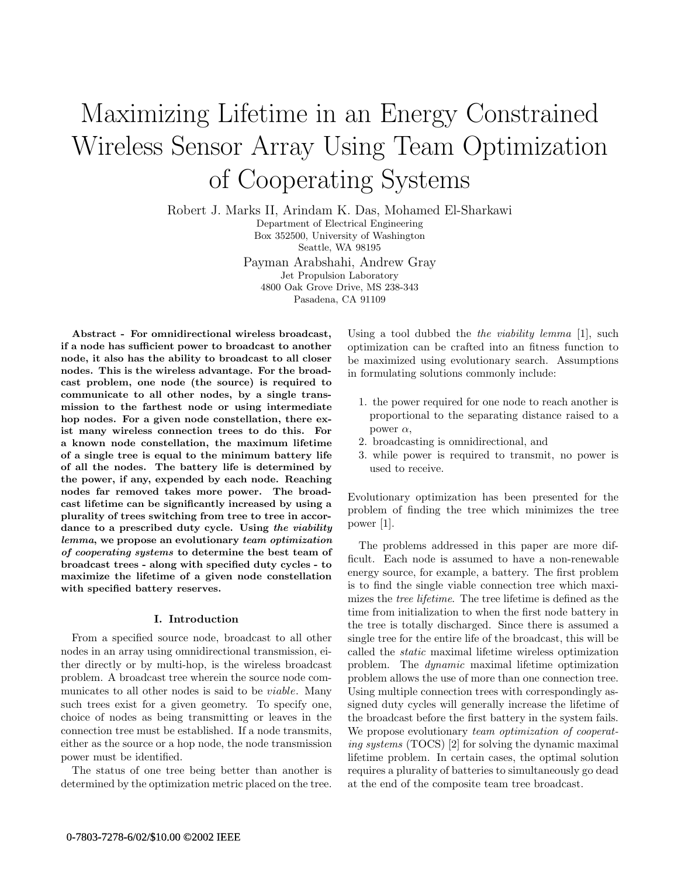# Maximizing Lifetime in an Energy Constrained Wireless Sensor Array Using Team Optimization of Cooperating Systems

Robert J. Marks II, Arindam K. Das, Mohamed El-Sharkawi Department of Electrical Engineering Box 352500, University of Washington Seattle, WA 98195 Payman Arabshahi, Andrew Gray Jet Propulsion Laboratory 4800 Oak Grove Drive, MS 238-343

Pasadena, CA 91109

Abstract - For omnidirectional wireless broadcast, if a node has sufficient power to broadcast to another node, it also has the ability to broadcast to all closer nodes. This is the wireless advantage. For the broadcast problem, one node (the source) is required to communicate to all other nodes, by a single transmission to the farthest node or using intermediate hop nodes. For a given node constellation, there exist many wireless connection trees to do this. For a known node constellation, the maximum lifetime of a single tree is equal to the minimum battery life of all the nodes. The battery life is determined by the power, if any, expended by each node. Reaching nodes far removed takes more power. The broadcast lifetime can be significantly increased by using a plurality of trees switching from tree to tree in accordance to a prescribed duty cycle. Using the viability lemma, we propose an evolutionary team optimization of cooperating systems to determine the best team of broadcast trees - along with specified duty cycles - to maximize the lifetime of a given node constellation with specified battery reserves.

# I. Introduction

From a specified source node, broadcast to all other nodes in an array using omnidirectional transmission, either directly or by multi-hop, is the wireless broadcast problem. A broadcast tree wherein the source node communicates to all other nodes is said to be *viable*. Many such trees exist for a given geometry. To specify one, choice of nodes as being transmitting or leaves in the connection tree must be established. If a node transmits, either as the source or a hop node, the node transmission power must be identified.

The status of one tree being better than another is determined by the optimization metric placed on the tree. Using a tool dubbed the *the viability lemma* [1], such optimization can be crafted into an fitness function to be maximized using evolutionary search. Assumptions in formulating solutions commonly include:

- 1. the power required for one node to reach another is proportional to the separating distance raised to a power  $\alpha$ ,
- 2. broadcasting is omnidirectional, and
- 3. while power is required to transmit, no power is used to receive.

Evolutionary optimization has been presented for the problem of finding the tree which minimizes the tree power [1].

The problems addressed in this paper are more difficult. Each node is assumed to have a non-renewable energy source, for example, a battery. The first problem is to find the single viable connection tree which maximizes the *tree lifetime*. The tree lifetime is defined as the time from initialization to when the first node battery in the tree is totally discharged. Since there is assumed a single tree for the entire life of the broadcast, this will be called the static maximal lifetime wireless optimization problem. The dynamic maximal lifetime optimization problem allows the use of more than one connection tree. Using multiple connection trees with correspondingly assigned duty cycles will generally increase the lifetime of the broadcast before the first battery in the system fails. We propose evolutionary team optimization of cooperating systems (TOCS) [2] for solving the dynamic maximal lifetime problem. In certain cases, the optimal solution requires a plurality of batteries to simultaneously go dead at the end of the composite team tree broadcast.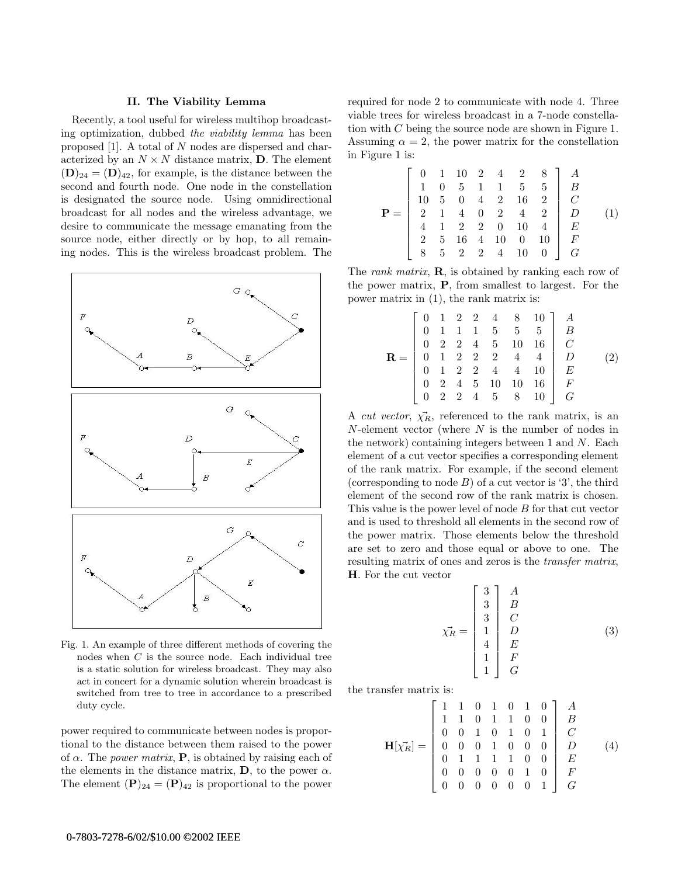# II. The Viability Lemma

Recently, a tool useful for wireless multihop broadcasting optimization, dubbed the viability lemma has been proposed [1]. A total of N nodes are dispersed and characterized by an  $N \times N$  distance matrix, **D**. The element  $(D)_{24} = (D)_{42}$ , for example, is the distance between the second and fourth node. One node in the constellation is designated the source node. Using omnidirectional broadcast for all nodes and the wireless advantage, we desire to communicate the message emanating from the source node, either directly or by hop, to all remaining nodes. This is the wireless broadcast problem. The



Fig. 1. An example of three different methods of covering the nodes when C is the source node. Each individual tree is a static solution for wireless broadcast. They may also act in concert for a dynamic solution wherein broadcast is switched from tree to tree in accordance to a prescribed duty cycle.

power required to communicate between nodes is proportional to the distance between them raised to the power of  $\alpha$ . The *power matrix*, **P**, is obtained by raising each of the elements in the distance matrix,  $\mathbf{D}$ , to the power  $\alpha$ . The element  $({\bf P})_{24} = ({\bf P})_{42}$  is proportional to the power required for node 2 to communicate with node 4. Three viable trees for wireless broadcast in a 7-node constellation with C being the source node are shown in Figure 1. Assuming  $\alpha = 2$ , the power matrix for the constellation in Figure 1 is:

$$
\mathbf{P} = \begin{bmatrix} 0 & 1 & 10 & 2 & 4 & 2 & 8 \\ 1 & 0 & 5 & 1 & 1 & 5 & 5 \\ 10 & 5 & 0 & 4 & 2 & 16 & 2 \\ 2 & 1 & 4 & 0 & 2 & 4 & 2 \\ 4 & 1 & 2 & 2 & 0 & 10 & 4 \\ 2 & 5 & 16 & 4 & 10 & 0 & 10 \\ 8 & 5 & 2 & 2 & 4 & 10 & 0 \end{bmatrix} \begin{bmatrix} A \\ B \\ C \\ C \\ E \\ F \end{bmatrix}
$$
 (1)

The *rank matrix*,  $\bf{R}$ , is obtained by ranking each row of the power matrix, P, from smallest to largest. For the power matrix in (1), the rank matrix is:

$$
\mathbf{R} = \begin{bmatrix} 0 & 1 & 2 & 2 & 4 & 8 & 10 \\ 0 & 1 & 1 & 1 & 5 & 5 & 5 & 5 \\ 0 & 2 & 2 & 4 & 5 & 10 & 16 & C \\ 0 & 1 & 2 & 2 & 2 & 4 & 4 & 0 \\ 0 & 1 & 2 & 2 & 4 & 4 & 10 & E \\ 0 & 2 & 4 & 5 & 10 & 10 & 16 & F \\ 0 & 2 & 2 & 4 & 5 & 8 & 10 & G \end{bmatrix} \begin{bmatrix} A \\ B \\ C \\ C \\ E \\ F \\ G \end{bmatrix}
$$
 (2)

A *cut vector*,  $\overrightarrow{\chi_R}$ , referenced to the rank matrix, is an N-element vector (where N is the number of nodes in the network) containing integers between  $1$  and  $N$ . Each element of a cut vector specifies a corresponding element of the rank matrix. For example, if the second element (corresponding to node  $B$ ) of a cut vector is '3', the third element of the second row of the rank matrix is chosen. This value is the power level of node B for that cut vector and is used to threshold all elements in the second row of the power matrix. Those elements below the threshold are set to zero and those equal or above to one. The resulting matrix of ones and zeros is the *transfer matrix*, H. For the cut vector

$$
\chi_R^* = \begin{bmatrix} 3 \\ 3 \\ 3 \\ 1 \\ 4 \\ 4 \\ 1 \\ 1 \end{bmatrix} \begin{array}{c} A \\ B \\ C \\ C \\ E \\ E \\ F \\ G \end{array} \tag{3}
$$

the transfer matrix is:

$$
\mathbf{H}[\chi_R^{\star}] = \begin{bmatrix} 1 & 1 & 0 & 1 & 0 & 1 & 0 \\ 1 & 1 & 0 & 1 & 1 & 0 & 0 \\ 0 & 0 & 1 & 0 & 1 & 0 & 1 \\ 0 & 0 & 0 & 1 & 0 & 0 & 0 \\ 0 & 0 & 0 & 1 & 0 & 0 & 0 \\ 0 & 1 & 1 & 1 & 1 & 0 & 0 \\ 0 & 0 & 0 & 0 & 0 & 1 & 0 \\ 0 & 0 & 0 & 0 & 0 & 0 & 1 \end{bmatrix} \begin{bmatrix} A \\ B \\ C \\ C \\ E \\ F \\ G \end{bmatrix}
$$
 (4)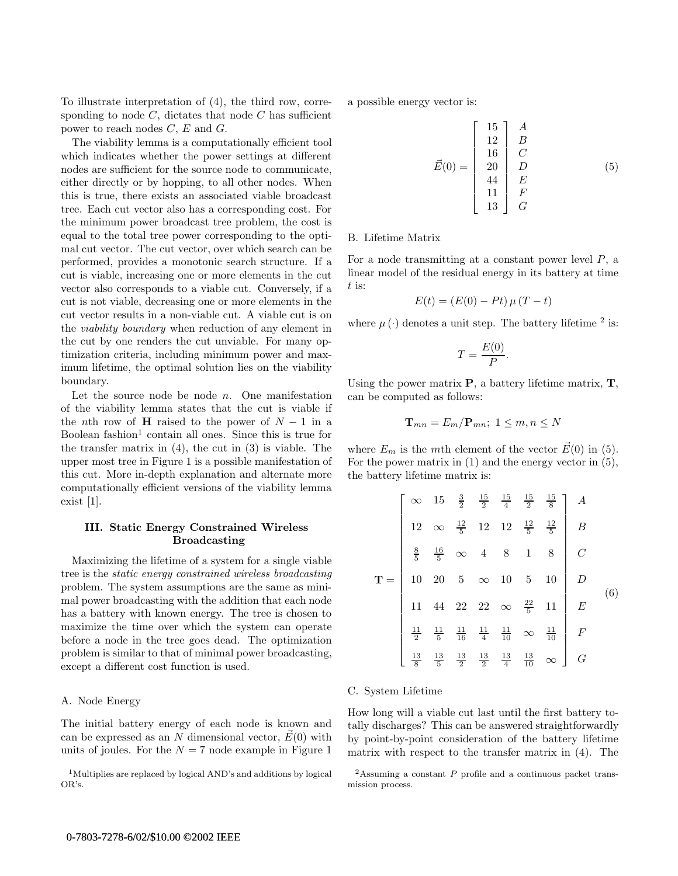To illustrate interpretation of (4), the third row, corresponding to node  $C$ , dictates that node  $C$  has sufficient power to reach nodes C, E and G.

The viability lemma is a computationally efficient tool which indicates whether the power settings at different nodes are sufficient for the source node to communicate, either directly or by hopping, to all other nodes. When this is true, there exists an associated viable broadcast tree. Each cut vector also has a corresponding cost. For the minimum power broadcast tree problem, the cost is equal to the total tree power corresponding to the optimal cut vector. The cut vector, over which search can be performed, provides a monotonic search structure. If a cut is viable, increasing one or more elements in the cut vector also corresponds to a viable cut. Conversely, if a cut is not viable, decreasing one or more elements in the cut vector results in a non-viable cut. A viable cut is on the viability boundary when reduction of any element in the cut by one renders the cut unviable. For many optimization criteria, including minimum power and maximum lifetime, the optimal solution lies on the viability boundary.

Let the source node be node  $n$ . One manifestation of the viability lemma states that the cut is viable if the *n*th row of **H** raised to the power of  $N - 1$  in a Boolean fashion<sup>1</sup> contain all ones. Since this is true for the transfer matrix in  $(4)$ , the cut in  $(3)$  is viable. The upper most tree in Figure 1 is a possible manifestation of this cut. More in-depth explanation and alternate more computationally efficient versions of the viability lemma exist [1].

# III. Static Energy Constrained Wireless Broadcasting

Maximizing the lifetime of a system for a single viable tree is the static energy constrained wireless broadcasting problem. The system assumptions are the same as minimal power broadcasting with the addition that each node has a battery with known energy. The tree is chosen to maximize the time over which the system can operate before a node in the tree goes dead. The optimization problem is similar to that of minimal power broadcasting, except a different cost function is used.

# A. Node Energy

The initial battery energy of each node is known and can be expressed as an N dimensional vector,  $E(0)$  with units of joules. For the  $N = 7$  node example in Figure 1

<sup>1</sup>Multiplies are replaced by logical AND's and additions by logical OR's.

a possible energy vector is:

$$
\vec{E}(0) = \begin{bmatrix} 15 & A \\ 12 & B \\ 16 & C \\ 20 & D \\ 44 & E \\ 11 & F \\ 13 & G \end{bmatrix} \tag{5}
$$

### B. Lifetime Matrix

For a node transmitting at a constant power level P, a linear model of the residual energy in its battery at time  $t$  is:

$$
E(t) = (E(0) - Pt) \mu (T - t)
$$

where  $\mu(\cdot)$  denotes a unit step. The battery lifetime <sup>2</sup> is:

$$
T = \frac{E(0)}{P}.
$$

Using the power matrix  $P$ , a battery lifetime matrix,  $T$ , can be computed as follows:

$$
\mathbf{T}_{mn} = E_m / \mathbf{P}_{mn}; \ 1 \leq m, n \leq N
$$

where  $E_m$  is the mth element of the vector  $\vec{E}(0)$  in (5). For the power matrix in  $(1)$  and the energy vector in  $(5)$ , the battery lifetime matrix is:

$$
\mathbf{T} = \begin{bmatrix} \infty & 15 & \frac{3}{2} & \frac{15}{2} & \frac{15}{4} & \frac{15}{2} & \frac{15}{8} \\ 12 & \infty & \frac{12}{5} & 12 & 12 & \frac{12}{5} & \frac{12}{5} \\ \frac{8}{5} & \frac{16}{5} & \infty & 4 & 8 & 1 & 8 \\ 10 & 20 & 5 & \infty & 10 & 5 & 10 \\ 11 & 44 & 22 & 22 & \infty & \frac{22}{5} & 11 \\ \frac{11}{2} & \frac{11}{5} & \frac{11}{16} & \frac{11}{4} & \frac{11}{10} & \infty & \frac{11}{10} \\ \frac{13}{8} & \frac{13}{5} & \frac{13}{2} & \frac{13}{2} & \frac{13}{4} & \frac{13}{10} & \infty \end{bmatrix} \begin{array}{c} A \\ B \\ C \\ C \\ E \end{array}
$$
 (6)

#### C. System Lifetime

How long will a viable cut last until the first battery totally discharges? This can be answered straightforwardly by point-by-point consideration of the battery lifetime matrix with respect to the transfer matrix in (4). The

<sup>&</sup>lt;sup>2</sup>Assuming a constant  $P$  profile and a continuous packet transmission process.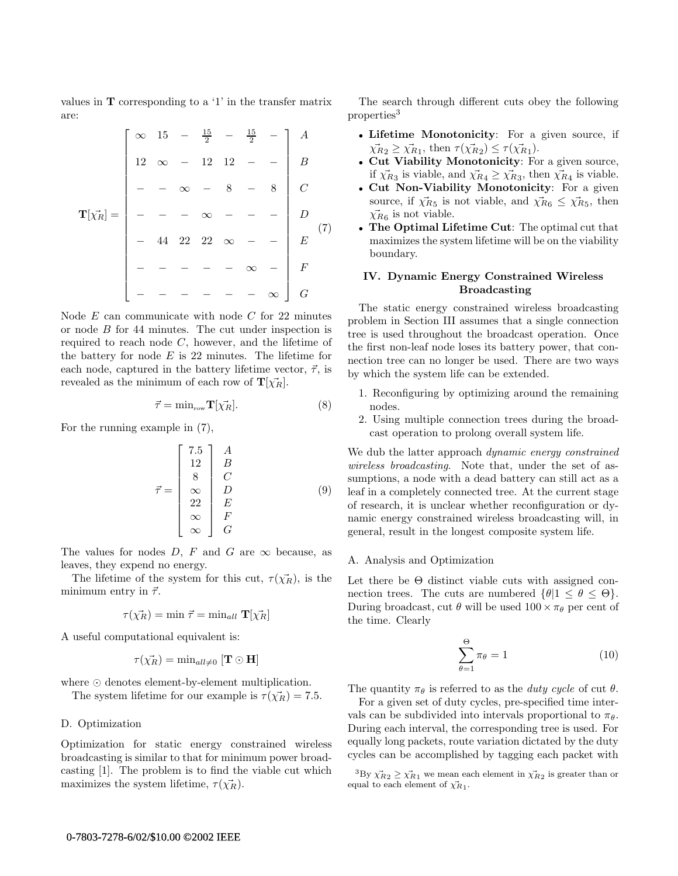values in T corresponding to a '1' in the transfer matrix are:

|                              | $\infty$ 15 - $\frac{15}{2}$ - |          |          |                |        | $\frac{15}{2}$ |   | $\overline{A}$   |                |
|------------------------------|--------------------------------|----------|----------|----------------|--------|----------------|---|------------------|----------------|
|                              | $12\,$                         | $\infty$ |          | 12             | $12\,$ |                |   | $\overline{B}$   |                |
|                              |                                |          | $\infty$ |                | 8      |                | 8 |                  |                |
| $\mathbf{T}[\vec{\chi_R}] =$ |                                |          |          | $\infty$       |        |                |   |                  |                |
|                              |                                | 44       |          | 22 22 $\infty$ |        |                |   | $\boldsymbol{E}$ | $\binom{7}{ }$ |
|                              |                                |          |          |                |        | $\propto$      |   | $\boldsymbol{F}$ |                |
|                              |                                |          |          |                |        |                |   | G                |                |

Node  $E$  can communicate with node  $C$  for 22 minutes or node B for 44 minutes. The cut under inspection is required to reach node  $C$ , however, and the lifetime of the battery for node  $E$  is 22 minutes. The lifetime for each node, captured in the battery lifetime vector,  $\vec{\tau}$ , is revealed as the minimum of each row of  $\mathbf{T}[\vec{\chi_R}].$ 

$$
\vec{\tau} = \min_{\text{row}} \mathbf{T}[\vec{\chi_R}]. \tag{8}
$$

For the running example in (7),

$$
\vec{\tau} = \begin{bmatrix} 7.5 & A \\ 12 & B \\ 8 & C \\ \infty & D \\ 22 & E \\ \infty & F \\ \infty & G \end{bmatrix} \tag{9}
$$

The values for nodes  $D, F$  and  $G$  are  $\infty$  because, as leaves, they expend no energy.

The lifetime of the system for this cut,  $\tau(\vec{\chi_R})$ , is the minimum entry in  $\vec{\tau}$ .

$$
\tau(\vec{\chi_R}) = \min \vec{\tau} = \min_{all} \mathbf{T}[\vec{\chi_R}]
$$

A useful computational equivalent is:

$$
\tau(\vec{\chi_R}) = \min_{all \neq 0} [\mathbf{T} \odot \mathbf{H}]
$$

where  $\odot$  denotes element-by-element multiplication.

The system lifetime for our example is  $\tau(\vec{\chi_R}) = 7.5$ .

## D. Optimization

Optimization for static energy constrained wireless broadcasting is similar to that for minimum power broadcasting [1]. The problem is to find the viable cut which maximizes the system lifetime,  $\tau(\vec{\chi_R})$ .

The search through different cuts obey the following properties<sup>3</sup>

- Lifetime Monotonicity: For a given source, if  $\vec{\chi}_{R2} \geq \vec{\chi}_{R1}$ , then  $\tau(\vec{\chi}_{R2}) \leq \tau(\vec{\chi}_{R1})$ .
- Cut Viability Monotonicity: For a given source, if  $\vec{\chi}_{R_3}$  is viable, and  $\vec{\chi}_{R_4} \geq \vec{\chi}_{R_3}$ , then  $\vec{\chi}_{R_4}$  is viable.
- Cut Non-Viability Monotonicity: For a given source, if  $\vec{\chi}_{R5}$  is not viable, and  $\vec{\chi}_{R6} \leq \vec{\chi}_{R5}$ , then  $\vec{\chi}_{R6}$  is not viable.
- The Optimal Lifetime Cut: The optimal cut that maximizes the system lifetime will be on the viability boundary.

# IV. Dynamic Energy Constrained Wireless Broadcasting

The static energy constrained wireless broadcasting problem in Section III assumes that a single connection tree is used throughout the broadcast operation. Once the first non-leaf node loses its battery power, that connection tree can no longer be used. There are two ways by which the system life can be extended.

- 1. Reconfiguring by optimizing around the remaining nodes.
- 2. Using multiple connection trees during the broadcast operation to prolong overall system life.

We dub the latter approach *dynamic energy constrained* wireless broadcasting. Note that, under the set of assumptions, a node with a dead battery can still act as a leaf in a completely connected tree. At the current stage of research, it is unclear whether reconfiguration or dynamic energy constrained wireless broadcasting will, in general, result in the longest composite system life.

#### A. Analysis and Optimization

Let there be  $\Theta$  distinct viable cuts with assigned connection trees. The cuts are numbered  $\{\theta | 1 \leq \theta \leq \Theta\}.$ During broadcast, cut  $\theta$  will be used  $100 \times \pi_{\theta}$  per cent of the time. Clearly

$$
\sum_{\theta=1}^{\Theta} \pi_{\theta} = 1 \tag{10}
$$

The quantity  $\pi_{\theta}$  is referred to as the *duty cycle* of cut  $\theta$ .

For a given set of duty cycles, pre-specified time intervals can be subdivided into intervals proportional to  $\pi_{\theta}$ . During each interval, the corresponding tree is used. For equally long packets, route variation dictated by the duty cycles can be accomplished by tagging each packet with

 ${}^{3}$ By  $\chi^{2}_{R_2} \geq \chi^{2}_{R_1}$  we mean each element in  $\chi^{2}_{R_2}$  is greater than or equal to each element of  $\chi_{R_1}$ .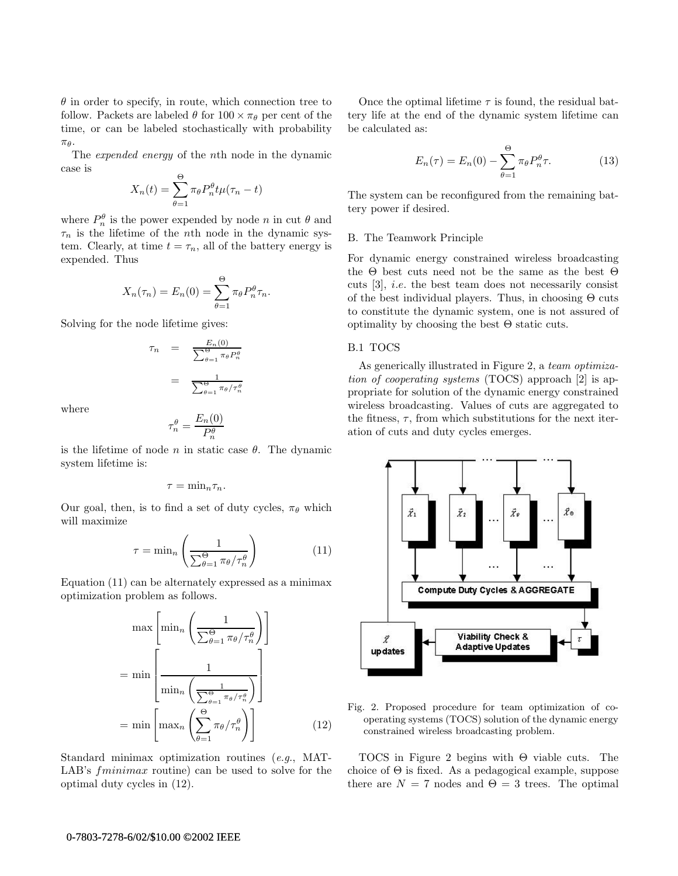$\theta$  in order to specify, in route, which connection tree to follow. Packets are labeled  $\theta$  for  $100 \times \pi_{\theta}$  per cent of the time, or can be labeled stochastically with probability  $\pi_{\theta}$ .

The expended energy of the nth node in the dynamic case is

$$
X_n(t) = \sum_{\theta=1}^{\Theta} \pi_{\theta} P_n^{\theta} t \mu(\tau_n - t)
$$

where  $P_n^{\theta}$  is the power expended by node *n* in cut  $\theta$  and  $\tau_n$  is the lifetime of the nth node in the dynamic system. Clearly, at time  $t = \tau_n$ , all of the battery energy is expended. Thus

$$
X_n(\tau_n) = E_n(0) = \sum_{\theta=1}^{\Theta} \pi_{\theta} P_n^{\theta} \tau_n.
$$

Solving for the node lifetime gives:

$$
\tau_n = \frac{E_n(0)}{\sum_{\theta=1}^{\Theta} \pi_{\theta} P_n^{\theta}}
$$

$$
= \frac{1}{\sum_{\theta=1}^{\Theta} \pi_{\theta} / \tau_n^{\theta}}
$$

where

$$
\tau_n^\theta = \frac{E_n(0)}{P_n^\theta}
$$

is the lifetime of node n in static case  $\theta$ . The dynamic system lifetime is:

$$
\tau=\min\nolimits_n \tau_n.
$$

Our goal, then, is to find a set of duty cycles,  $\pi_{\theta}$  which will maximize

$$
\tau = \min_{n} \left( \frac{1}{\sum_{\theta=1}^{\Theta} \pi_{\theta} / \tau_{n}^{\theta}} \right) \tag{11}
$$

Equation (11) can be alternately expressed as a minimax optimization problem as follows.

$$
\max\left[\min_{n}\left(\frac{1}{\sum_{\theta=1}^{\Theta}\pi_{\theta}/\tau_{n}^{\theta}}\right)\right]
$$

$$
=\min\left[\frac{1}{\min_{n}\left(\frac{1}{\sum_{\theta=1}^{\Theta}\pi_{\theta}/\tau_{n}^{\theta}}\right)}\right]
$$

$$
=\min\left[\max_{n}\left(\sum_{\theta=1}^{\Theta}\pi_{\theta}/\tau_{n}^{\theta}\right)\right]
$$
(12)

Standard minimax optimization routines (e.g., MAT-LAB's *fminimax* routine) can be used to solve for the optimal duty cycles in (12).

Once the optimal lifetime  $\tau$  is found, the residual battery life at the end of the dynamic system lifetime can be calculated as:

$$
E_n(\tau) = E_n(0) - \sum_{\theta=1}^{\Theta} \pi_{\theta} P_n^{\theta} \tau.
$$
 (13)

The system can be reconfigured from the remaining battery power if desired.

## B. The Teamwork Principle

For dynamic energy constrained wireless broadcasting the Θ best cuts need not be the same as the best Θ cuts [3], i.e. the best team does not necessarily consist of the best individual players. Thus, in choosing Θ cuts to constitute the dynamic system, one is not assured of optimality by choosing the best  $\Theta$  static cuts.

# B.1 TOCS

As generically illustrated in Figure 2, a team optimization of cooperating systems (TOCS) approach [2] is appropriate for solution of the dynamic energy constrained wireless broadcasting. Values of cuts are aggregated to the fitness,  $\tau$ , from which substitutions for the next iteration of cuts and duty cycles emerges.



Fig. 2. Proposed procedure for team optimization of cooperating systems (TOCS) solution of the dynamic energy constrained wireless broadcasting problem.

TOCS in Figure 2 begins with Θ viable cuts. The choice of  $\Theta$  is fixed. As a pedagogical example, suppose there are  $N = 7$  nodes and  $\Theta = 3$  trees. The optimal